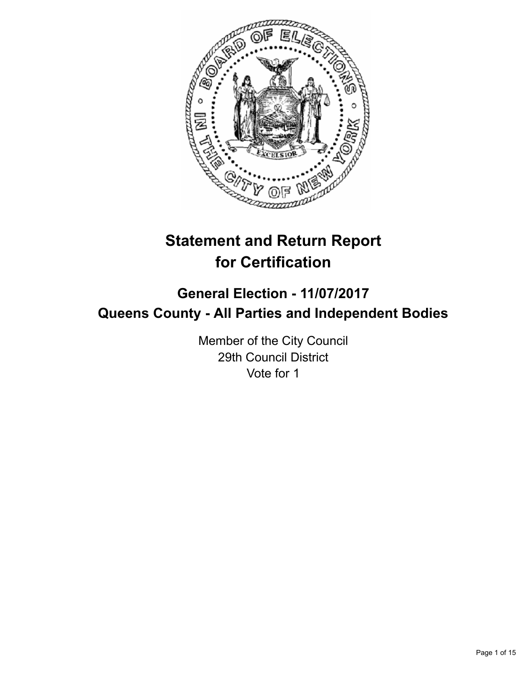

# **Statement and Return Report for Certification**

# **General Election - 11/07/2017 Queens County - All Parties and Independent Bodies**

Member of the City Council 29th Council District Vote for 1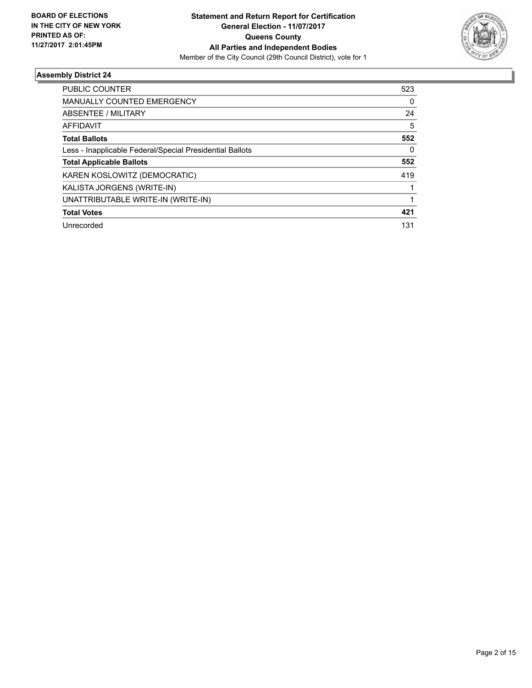

| 523 |
|-----|
| 0   |
| 24  |
| 5   |
| 552 |
| 0   |
| 552 |
| 419 |
|     |
|     |
| 421 |
| 131 |
|     |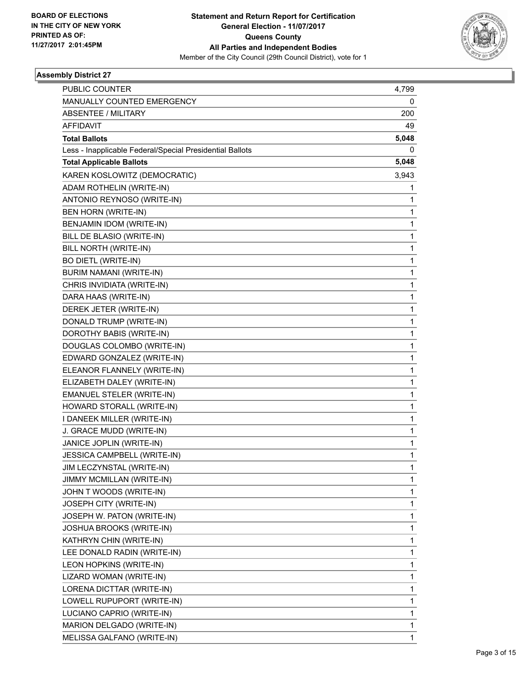

| PUBLIC COUNTER                                           | 4,799        |
|----------------------------------------------------------|--------------|
| MANUALLY COUNTED EMERGENCY                               | 0            |
| <b>ABSENTEE / MILITARY</b>                               | 200          |
| <b>AFFIDAVIT</b>                                         | 49           |
| <b>Total Ballots</b>                                     | 5,048        |
| Less - Inapplicable Federal/Special Presidential Ballots | 0            |
| <b>Total Applicable Ballots</b>                          | 5,048        |
| KAREN KOSLOWITZ (DEMOCRATIC)                             | 3,943        |
| ADAM ROTHELIN (WRITE-IN)                                 | 1            |
| ANTONIO REYNOSO (WRITE-IN)                               | 1            |
| BEN HORN (WRITE-IN)                                      | 1            |
| BENJAMIN IDOM (WRITE-IN)                                 | 1            |
| BILL DE BLASIO (WRITE-IN)                                | 1            |
| BILL NORTH (WRITE-IN)                                    | $\mathbf 1$  |
| <b>BO DIETL (WRITE-IN)</b>                               | 1            |
| <b>BURIM NAMANI (WRITE-IN)</b>                           | 1            |
| CHRIS INVIDIATA (WRITE-IN)                               | 1            |
| DARA HAAS (WRITE-IN)                                     | 1            |
| DEREK JETER (WRITE-IN)                                   | 1            |
| DONALD TRUMP (WRITE-IN)                                  | $\mathbf 1$  |
| DOROTHY BABIS (WRITE-IN)                                 | 1            |
| DOUGLAS COLOMBO (WRITE-IN)                               | 1            |
| EDWARD GONZALEZ (WRITE-IN)                               | $\mathbf{1}$ |
| ELEANOR FLANNELY (WRITE-IN)                              | 1            |
| ELIZABETH DALEY (WRITE-IN)                               | 1            |
| <b>EMANUEL STELER (WRITE-IN)</b>                         | $\mathbf 1$  |
| HOWARD STORALL (WRITE-IN)                                | 1            |
| I DANEEK MILLER (WRITE-IN)                               | 1            |
| J. GRACE MUDD (WRITE-IN)                                 | 1            |
| JANICE JOPLIN (WRITE-IN)                                 | 1            |
| JESSICA CAMPBELL (WRITE-IN)                              | 1            |
| JIM LECZYNSTAL (WRITE-IN)                                | 1            |
| JIMMY MCMILLAN (WRITE-IN)                                | 1            |
| JOHN T WOODS (WRITE-IN)                                  | 1            |
| JOSEPH CITY (WRITE-IN)                                   | 1            |
| JOSEPH W. PATON (WRITE-IN)                               | 1            |
| JOSHUA BROOKS (WRITE-IN)                                 | 1            |
| KATHRYN CHIN (WRITE-IN)                                  | 1            |
| LEE DONALD RADIN (WRITE-IN)                              | 1            |
| LEON HOPKINS (WRITE-IN)                                  | 1            |
| LIZARD WOMAN (WRITE-IN)                                  | 1            |
| LORENA DICTTAR (WRITE-IN)                                | 1            |
| LOWELL RUPUPORT (WRITE-IN)                               | 1            |
| LUCIANO CAPRIO (WRITE-IN)                                | 1            |
| MARION DELGADO (WRITE-IN)                                | 1            |
| MELISSA GALFANO (WRITE-IN)                               | $\mathbf{1}$ |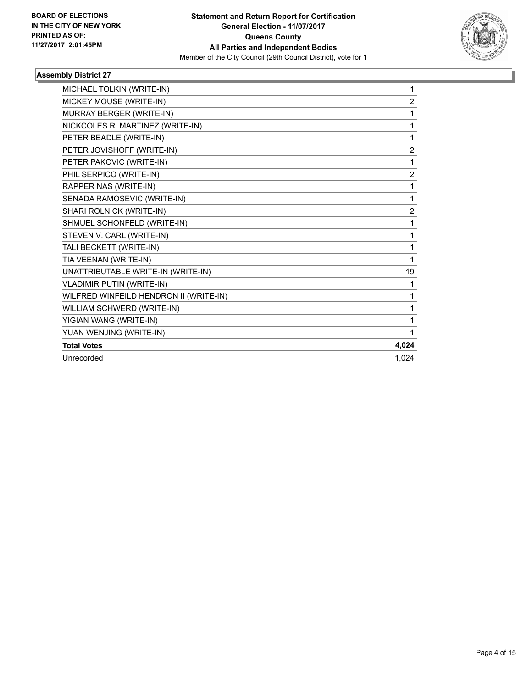

| MICHAEL TOLKIN (WRITE-IN)              | 1              |
|----------------------------------------|----------------|
| MICKEY MOUSE (WRITE-IN)                | $\overline{2}$ |
| MURRAY BERGER (WRITE-IN)               | 1              |
| NICKCOLES R. MARTINEZ (WRITE-IN)       | 1              |
| PETER BEADLE (WRITE-IN)                | 1              |
| PETER JOVISHOFF (WRITE-IN)             | $\overline{2}$ |
| PETER PAKOVIC (WRITE-IN)               | 1              |
| PHIL SERPICO (WRITE-IN)                | $\overline{2}$ |
| RAPPER NAS (WRITE-IN)                  | 1              |
| SENADA RAMOSEVIC (WRITE-IN)            | 1              |
| SHARI ROLNICK (WRITE-IN)               | $\overline{2}$ |
| SHMUEL SCHONFELD (WRITE-IN)            | 1              |
| STEVEN V. CARL (WRITE-IN)              | 1              |
| TALI BECKETT (WRITE-IN)                | 1              |
| TIA VEENAN (WRITE-IN)                  | 1              |
| UNATTRIBUTABLE WRITE-IN (WRITE-IN)     | 19             |
| <b>VLADIMIR PUTIN (WRITE-IN)</b>       | 1              |
| WILFRED WINFEILD HENDRON II (WRITE-IN) | 1              |
| WILLIAM SCHWERD (WRITE-IN)             | 1              |
| YIGIAN WANG (WRITE-IN)                 | 1              |
| YUAN WENJING (WRITE-IN)                | 1              |
| <b>Total Votes</b>                     | 4,024          |
| Unrecorded                             | 1.024          |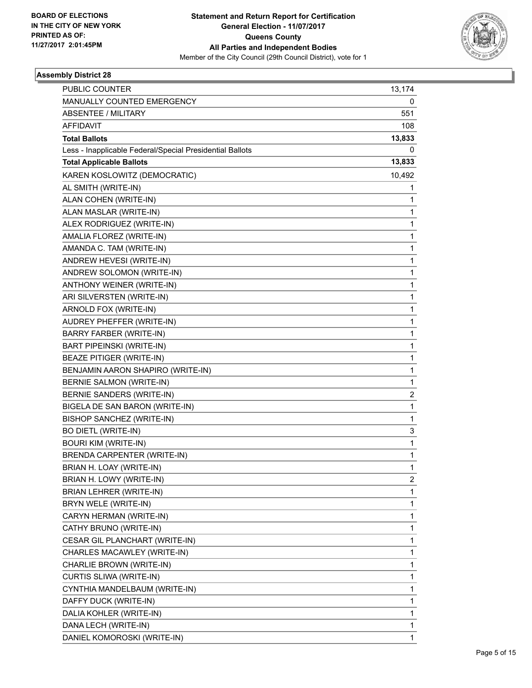

| <b>PUBLIC COUNTER</b>                                    | 13,174                  |
|----------------------------------------------------------|-------------------------|
| MANUALLY COUNTED EMERGENCY                               | 0                       |
| <b>ABSENTEE / MILITARY</b>                               | 551                     |
| <b>AFFIDAVIT</b>                                         | 108                     |
| <b>Total Ballots</b>                                     | 13,833                  |
| Less - Inapplicable Federal/Special Presidential Ballots | 0                       |
| <b>Total Applicable Ballots</b>                          | 13,833                  |
| KAREN KOSLOWITZ (DEMOCRATIC)                             | 10,492                  |
| AL SMITH (WRITE-IN)                                      | 1                       |
| ALAN COHEN (WRITE-IN)                                    | 1                       |
| ALAN MASLAR (WRITE-IN)                                   | 1                       |
| ALEX RODRIGUEZ (WRITE-IN)                                | 1                       |
| AMALIA FLOREZ (WRITE-IN)                                 | 1                       |
| AMANDA C. TAM (WRITE-IN)                                 | $\mathbf{1}$            |
| ANDREW HEVESI (WRITE-IN)                                 | 1                       |
| ANDREW SOLOMON (WRITE-IN)                                | 1                       |
| ANTHONY WEINER (WRITE-IN)                                | $\mathbf{1}$            |
| ARI SILVERSTEN (WRITE-IN)                                | 1                       |
| ARNOLD FOX (WRITE-IN)                                    | 1                       |
| AUDREY PHEFFER (WRITE-IN)                                | $\mathbf{1}$            |
| BARRY FARBER (WRITE-IN)                                  | 1                       |
| <b>BART PIPEINSKI (WRITE-IN)</b>                         | 1                       |
| BEAZE PITIGER (WRITE-IN)                                 | $\mathbf{1}$            |
| BENJAMIN AARON SHAPIRO (WRITE-IN)                        | 1                       |
| <b>BERNIE SALMON (WRITE-IN)</b>                          | 1                       |
| BERNIE SANDERS (WRITE-IN)                                | $\overline{\mathbf{c}}$ |
| BIGELA DE SAN BARON (WRITE-IN)                           | 1                       |
| <b>BISHOP SANCHEZ (WRITE-IN)</b>                         | 1                       |
| <b>BO DIETL (WRITE-IN)</b>                               | 3                       |
| <b>BOURI KIM (WRITE-IN)</b>                              | 1                       |
| BRENDA CARPENTER (WRITE-IN)                              | $\mathbf{1}$            |
| BRIAN H. LOAY (WRITE-IN)                                 | 1                       |
| BRIAN H. LOWY (WRITE-IN)                                 | 2                       |
| BRIAN LEHRER (WRITE-IN)                                  | $\mathbf{1}$            |
| BRYN WELE (WRITE-IN)                                     | 1                       |
| CARYN HERMAN (WRITE-IN)                                  | 1                       |
| CATHY BRUNO (WRITE-IN)                                   | 1                       |
| CESAR GIL PLANCHART (WRITE-IN)                           | 1                       |
| CHARLES MACAWLEY (WRITE-IN)                              | 1                       |
| CHARLIE BROWN (WRITE-IN)                                 | 1                       |
| CURTIS SLIWA (WRITE-IN)                                  | 1                       |
| CYNTHIA MANDELBAUM (WRITE-IN)                            | 1                       |
| DAFFY DUCK (WRITE-IN)                                    | 1                       |
| DALIA KOHLER (WRITE-IN)                                  | 1                       |
| DANA LECH (WRITE-IN)                                     | 1                       |
| DANIEL KOMOROSKI (WRITE-IN)                              | $\mathbf{1}$            |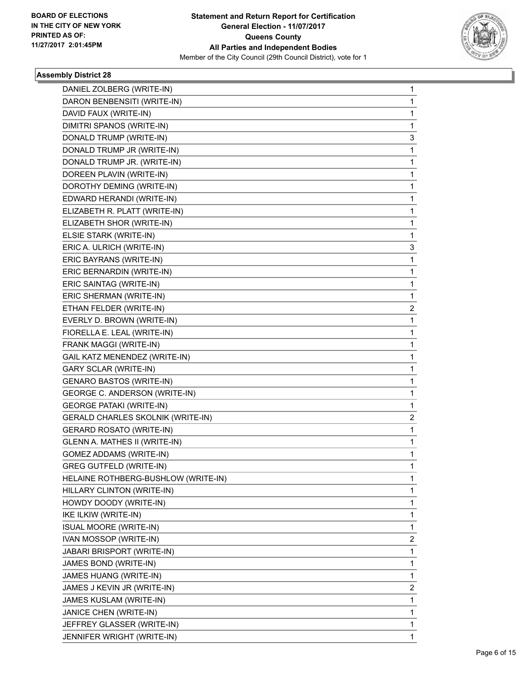

| DANIEL ZOLBERG (WRITE-IN)           | 1 |
|-------------------------------------|---|
| DARON BENBENSITI (WRITE-IN)         | 1 |
| DAVID FAUX (WRITE-IN)               | 1 |
| DIMITRI SPANOS (WRITE-IN)           | 1 |
| DONALD TRUMP (WRITE-IN)             | 3 |
| DONALD TRUMP JR (WRITE-IN)          | 1 |
| DONALD TRUMP JR. (WRITE-IN)         | 1 |
| DOREEN PLAVIN (WRITE-IN)            | 1 |
| DOROTHY DEMING (WRITE-IN)           | 1 |
| EDWARD HERANDI (WRITE-IN)           | 1 |
| ELIZABETH R. PLATT (WRITE-IN)       | 1 |
| ELIZABETH SHOR (WRITE-IN)           | 1 |
| ELSIE STARK (WRITE-IN)              | 1 |
| ERIC A. ULRICH (WRITE-IN)           | 3 |
| ERIC BAYRANS (WRITE-IN)             | 1 |
| ERIC BERNARDIN (WRITE-IN)           | 1 |
| ERIC SAINTAG (WRITE-IN)             | 1 |
| ERIC SHERMAN (WRITE-IN)             | 1 |
| ETHAN FELDER (WRITE-IN)             | 2 |
| EVERLY D. BROWN (WRITE-IN)          | 1 |
| FIORELLA E. LEAL (WRITE-IN)         | 1 |
| FRANK MAGGI (WRITE-IN)              | 1 |
| GAIL KATZ MENENDEZ (WRITE-IN)       | 1 |
| <b>GARY SCLAR (WRITE-IN)</b>        | 1 |
| <b>GENARO BASTOS (WRITE-IN)</b>     | 1 |
| GEORGE C. ANDERSON (WRITE-IN)       | 1 |
| <b>GEORGE PATAKI (WRITE-IN)</b>     | 1 |
| GERALD CHARLES SKOLNIK (WRITE-IN)   | 2 |
| <b>GERARD ROSATO (WRITE-IN)</b>     | 1 |
| GLENN A. MATHES II (WRITE-IN)       | 1 |
| <b>GOMEZ ADDAMS (WRITE-IN)</b>      | 1 |
| <b>GREG GUTFELD (WRITE-IN)</b>      | 1 |
| HELAINE ROTHBERG-BUSHLOW (WRITE-IN) | 1 |
| HILLARY CLINTON (WRITE-IN)          | 1 |
| HOWDY DOODY (WRITE-IN)              | 1 |
| IKE ILKIW (WRITE-IN)                | 1 |
| <b>ISUAL MOORE (WRITE-IN)</b>       | 1 |
| IVAN MOSSOP (WRITE-IN)              | 2 |
| JABARI BRISPORT (WRITE-IN)          | 1 |
| JAMES BOND (WRITE-IN)               | 1 |
| JAMES HUANG (WRITE-IN)              | 1 |
| JAMES J KEVIN JR (WRITE-IN)         | 2 |
| JAMES KUSLAM (WRITE-IN)             | 1 |
| JANICE CHEN (WRITE-IN)              | 1 |
| JEFFREY GLASSER (WRITE-IN)          | 1 |
| JENNIFER WRIGHT (WRITE-IN)          | 1 |
|                                     |   |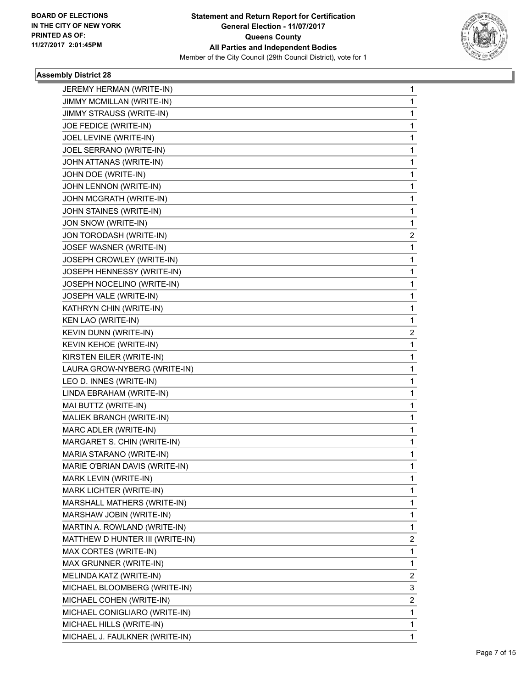

| JEREMY HERMAN (WRITE-IN)        | 1              |
|---------------------------------|----------------|
| JIMMY MCMILLAN (WRITE-IN)       | 1              |
| JIMMY STRAUSS (WRITE-IN)        | 1              |
| JOE FEDICE (WRITE-IN)           | 1              |
| JOEL LEVINE (WRITE-IN)          | 1              |
| JOEL SERRANO (WRITE-IN)         | 1              |
| JOHN ATTANAS (WRITE-IN)         | 1              |
| JOHN DOE (WRITE-IN)             | 1              |
| JOHN LENNON (WRITE-IN)          | $\mathbf 1$    |
| JOHN MCGRATH (WRITE-IN)         | 1              |
| JOHN STAINES (WRITE-IN)         | 1              |
| JON SNOW (WRITE-IN)             | 1              |
| JON TORODASH (WRITE-IN)         | 2              |
| JOSEF WASNER (WRITE-IN)         | 1              |
| JOSEPH CROWLEY (WRITE-IN)       | $\mathbf 1$    |
| JOSEPH HENNESSY (WRITE-IN)      | 1              |
| JOSEPH NOCELINO (WRITE-IN)      | 1              |
| JOSEPH VALE (WRITE-IN)          | 1              |
| KATHRYN CHIN (WRITE-IN)         | 1              |
| KEN LAO (WRITE-IN)              | 1              |
| KEVIN DUNN (WRITE-IN)           | 2              |
| KEVIN KEHOE (WRITE-IN)          | 1              |
| KIRSTEN EILER (WRITE-IN)        | 1              |
| LAURA GROW-NYBERG (WRITE-IN)    | $\mathbf 1$    |
| LEO D. INNES (WRITE-IN)         | 1              |
| LINDA EBRAHAM (WRITE-IN)        | 1              |
| MAI BUTTZ (WRITE-IN)            | $\mathbf 1$    |
| MALIEK BRANCH (WRITE-IN)        | 1              |
| MARC ADLER (WRITE-IN)           | 1              |
| MARGARET S. CHIN (WRITE-IN)     | $\mathbf 1$    |
| MARIA STARANO (WRITE-IN)        | 1              |
| MARIE O'BRIAN DAVIS (WRITE-IN)  | 1              |
| MARK LEVIN (WRITE-IN)           | $\mathbf 1$    |
| MARK LICHTER (WRITE-IN)         | 1              |
| MARSHALL MATHERS (WRITE-IN)     | 1              |
| MARSHAW JOBIN (WRITE-IN)        | 1              |
| MARTIN A. ROWLAND (WRITE-IN)    | 1              |
| MATTHEW D HUNTER III (WRITE-IN) | 2              |
| MAX CORTES (WRITE-IN)           | 1              |
| MAX GRUNNER (WRITE-IN)          | 1              |
| MELINDA KATZ (WRITE-IN)         | $\overline{2}$ |
| MICHAEL BLOOMBERG (WRITE-IN)    | 3              |
| MICHAEL COHEN (WRITE-IN)        | 2              |
| MICHAEL CONIGLIARO (WRITE-IN)   | 1              |
| MICHAEL HILLS (WRITE-IN)        | 1              |
| MICHAEL J. FAULKNER (WRITE-IN)  | $\mathbf{1}$   |
|                                 |                |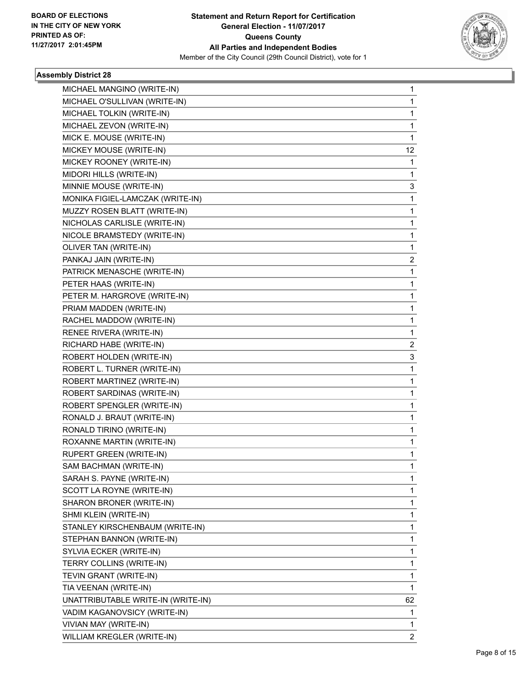

| MICHAEL MANGINO (WRITE-IN)         | 1              |
|------------------------------------|----------------|
| MICHAEL O'SULLIVAN (WRITE-IN)      | 1              |
| MICHAEL TOLKIN (WRITE-IN)          | 1              |
| MICHAEL ZEVON (WRITE-IN)           | 1.             |
| MICK E. MOUSE (WRITE-IN)           | 1              |
| MICKEY MOUSE (WRITE-IN)            | 12             |
| MICKEY ROONEY (WRITE-IN)           | 1              |
| MIDORI HILLS (WRITE-IN)            | 1              |
| MINNIE MOUSE (WRITE-IN)            | 3              |
| MONIKA FIGIEL-LAMCZAK (WRITE-IN)   | $\mathbf{1}$   |
| MUZZY ROSEN BLATT (WRITE-IN)       | 1              |
| NICHOLAS CARLISLE (WRITE-IN)       | 1              |
| NICOLE BRAMSTEDY (WRITE-IN)        | 1.             |
| OLIVER TAN (WRITE-IN)              | 1              |
| PANKAJ JAIN (WRITE-IN)             | $\overline{2}$ |
| PATRICK MENASCHE (WRITE-IN)        | $\mathbf{1}$   |
| PETER HAAS (WRITE-IN)              | 1              |
| PETER M. HARGROVE (WRITE-IN)       | 1              |
| PRIAM MADDEN (WRITE-IN)            | 1              |
| RACHEL MADDOW (WRITE-IN)           | 1              |
| RENEE RIVERA (WRITE-IN)            | 1              |
| RICHARD HABE (WRITE-IN)            | $\overline{2}$ |
| ROBERT HOLDEN (WRITE-IN)           | 3              |
| ROBERT L. TURNER (WRITE-IN)        | 1              |
| ROBERT MARTINEZ (WRITE-IN)         | 1              |
| ROBERT SARDINAS (WRITE-IN)         | 1              |
| ROBERT SPENGLER (WRITE-IN)         | 1              |
| RONALD J. BRAUT (WRITE-IN)         | 1.             |
| RONALD TIRINO (WRITE-IN)           | 1              |
| ROXANNE MARTIN (WRITE-IN)          | 1              |
| <b>RUPERT GREEN (WRITE-IN)</b>     | 1              |
| SAM BACHMAN (WRITE-IN)             | 1              |
| SARAH S. PAYNE (WRITE-IN)          | 1              |
| SCOTT LA ROYNE (WRITE-IN)          | 1.             |
| SHARON BRONER (WRITE-IN)           | 1              |
| SHMI KLEIN (WRITE-IN)              | 1              |
| STANLEY KIRSCHENBAUM (WRITE-IN)    | 1.             |
| STEPHAN BANNON (WRITE-IN)          | 1              |
| SYLVIA ECKER (WRITE-IN)            | 1              |
| TERRY COLLINS (WRITE-IN)           | 1              |
| TEVIN GRANT (WRITE-IN)             | 1              |
| TIA VEENAN (WRITE-IN)              | 1              |
| UNATTRIBUTABLE WRITE-IN (WRITE-IN) | 62             |
| VADIM KAGANOVSICY (WRITE-IN)       | 1              |
| VIVIAN MAY (WRITE-IN)              | 1              |
| WILLIAM KREGLER (WRITE-IN)         | $\overline{2}$ |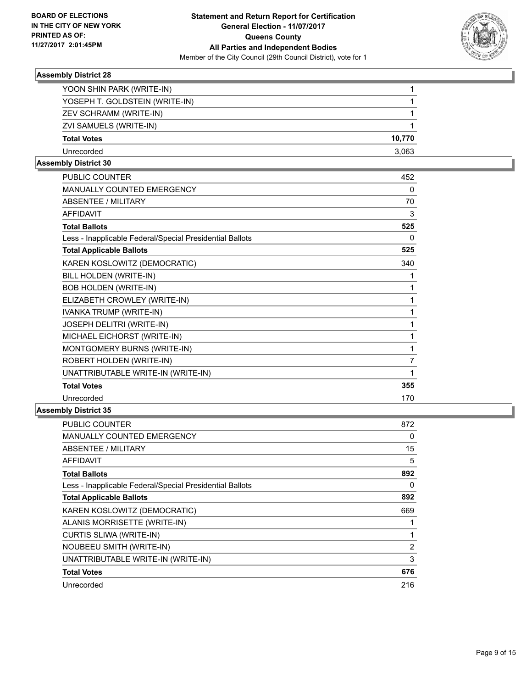

| YOON SHIN PARK (WRITE-IN)      |        |
|--------------------------------|--------|
| YOSEPH T. GOLDSTEIN (WRITE-IN) |        |
| ZEV SCHRAMM (WRITE-IN)         |        |
| ZVI SAMUELS (WRITE-IN)         |        |
| <b>Total Votes</b>             | 10.770 |
| Unrecorded                     | 3,063  |
|                                |        |

#### **Assembly District 30**

| <b>PUBLIC COUNTER</b>                                    | 452            |
|----------------------------------------------------------|----------------|
| MANUALLY COUNTED EMERGENCY                               | 0              |
| ABSENTEE / MILITARY                                      | 70             |
| <b>AFFIDAVIT</b>                                         | 3              |
| <b>Total Ballots</b>                                     | 525            |
| Less - Inapplicable Federal/Special Presidential Ballots | 0              |
| <b>Total Applicable Ballots</b>                          | 525            |
| KAREN KOSLOWITZ (DEMOCRATIC)                             | 340            |
| BILL HOLDEN (WRITE-IN)                                   | 1              |
| <b>BOB HOLDEN (WRITE-IN)</b>                             | 1              |
| ELIZABETH CROWLEY (WRITE-IN)                             | 1              |
| IVANKA TRUMP (WRITE-IN)                                  | 1              |
| JOSEPH DELITRI (WRITE-IN)                                | 1              |
| MICHAEL EICHORST (WRITE-IN)                              | 1              |
| MONTGOMERY BURNS (WRITE-IN)                              | 1              |
| ROBERT HOLDEN (WRITE-IN)                                 | $\overline{7}$ |
| UNATTRIBUTABLE WRITE-IN (WRITE-IN)                       | 1              |
| <b>Total Votes</b>                                       | 355            |
| Unrecorded                                               | 170            |
| ししょ わりょんけっとのき                                            |                |

| <b>PUBLIC COUNTER</b>                                    | 872            |
|----------------------------------------------------------|----------------|
| <b>MANUALLY COUNTED EMERGENCY</b>                        | 0              |
| ABSENTEE / MILITARY                                      | 15             |
| AFFIDAVIT                                                | 5              |
| <b>Total Ballots</b>                                     | 892            |
| Less - Inapplicable Federal/Special Presidential Ballots | 0              |
| <b>Total Applicable Ballots</b>                          | 892            |
| KAREN KOSLOWITZ (DEMOCRATIC)                             | 669            |
| ALANIS MORRISETTE (WRITE-IN)                             |                |
| CURTIS SLIWA (WRITE-IN)                                  | 1              |
| <b>NOUBEEU SMITH (WRITE-IN)</b>                          | $\overline{2}$ |
| UNATTRIBUTABLE WRITE-IN (WRITE-IN)                       | 3              |
| <b>Total Votes</b>                                       | 676            |
| Unrecorded                                               | 216            |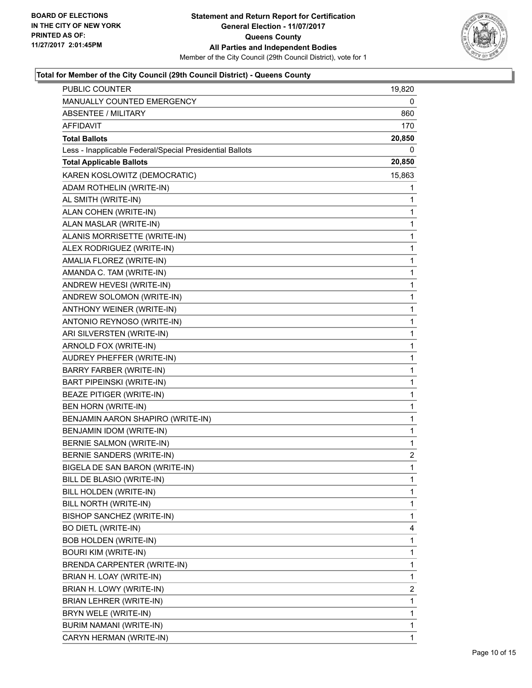

| PUBLIC COUNTER                                           | 19,820                  |
|----------------------------------------------------------|-------------------------|
| MANUALLY COUNTED EMERGENCY                               | 0                       |
| ABSENTEE / MILITARY                                      | 860                     |
| <b>AFFIDAVIT</b>                                         | 170                     |
| <b>Total Ballots</b>                                     | 20,850                  |
| Less - Inapplicable Federal/Special Presidential Ballots | 0                       |
| <b>Total Applicable Ballots</b>                          | 20,850                  |
| KAREN KOSLOWITZ (DEMOCRATIC)                             | 15,863                  |
| ADAM ROTHELIN (WRITE-IN)                                 | 1                       |
| AL SMITH (WRITE-IN)                                      | 1                       |
| ALAN COHEN (WRITE-IN)                                    | 1                       |
| ALAN MASLAR (WRITE-IN)                                   | 1                       |
| ALANIS MORRISETTE (WRITE-IN)                             | 1                       |
| ALEX RODRIGUEZ (WRITE-IN)                                | 1                       |
| AMALIA FLOREZ (WRITE-IN)                                 | 1                       |
| AMANDA C. TAM (WRITE-IN)                                 | 1                       |
| ANDREW HEVESI (WRITE-IN)                                 | 1                       |
| ANDREW SOLOMON (WRITE-IN)                                | 1                       |
| ANTHONY WEINER (WRITE-IN)                                | 1                       |
| ANTONIO REYNOSO (WRITE-IN)                               | 1                       |
| ARI SILVERSTEN (WRITE-IN)                                | 1                       |
| ARNOLD FOX (WRITE-IN)                                    | 1                       |
| AUDREY PHEFFER (WRITE-IN)                                | 1                       |
| <b>BARRY FARBER (WRITE-IN)</b>                           | 1                       |
| <b>BART PIPEINSKI (WRITE-IN)</b>                         | 1                       |
| BEAZE PITIGER (WRITE-IN)                                 | 1                       |
| BEN HORN (WRITE-IN)                                      | 1                       |
| BENJAMIN AARON SHAPIRO (WRITE-IN)                        | 1                       |
| BENJAMIN IDOM (WRITE-IN)                                 | 1                       |
| BERNIE SALMON (WRITE-IN)                                 | 1                       |
| BERNIE SANDERS (WRITE-IN)                                | 2                       |
| BIGELA DE SAN BARON (WRITE-IN)                           | 1                       |
| BILL DE BLASIO (WRITE-IN)                                | 1                       |
| BILL HOLDEN (WRITE-IN)                                   | 1                       |
| BILL NORTH (WRITE-IN)                                    | 1                       |
| BISHOP SANCHEZ (WRITE-IN)                                | 1                       |
| <b>BO DIETL (WRITE-IN)</b>                               | 4                       |
| BOB HOLDEN (WRITE-IN)                                    | 1                       |
| <b>BOURI KIM (WRITE-IN)</b>                              | 1                       |
| BRENDA CARPENTER (WRITE-IN)                              | 1                       |
| BRIAN H. LOAY (WRITE-IN)                                 | 1                       |
| BRIAN H. LOWY (WRITE-IN)                                 | $\overline{\mathbf{c}}$ |
| BRIAN LEHRER (WRITE-IN)                                  | 1                       |
| BRYN WELE (WRITE-IN)                                     | 1                       |
| BURIM NAMANI (WRITE-IN)                                  | 1                       |
| CARYN HERMAN (WRITE-IN)                                  | $\mathbf{1}$            |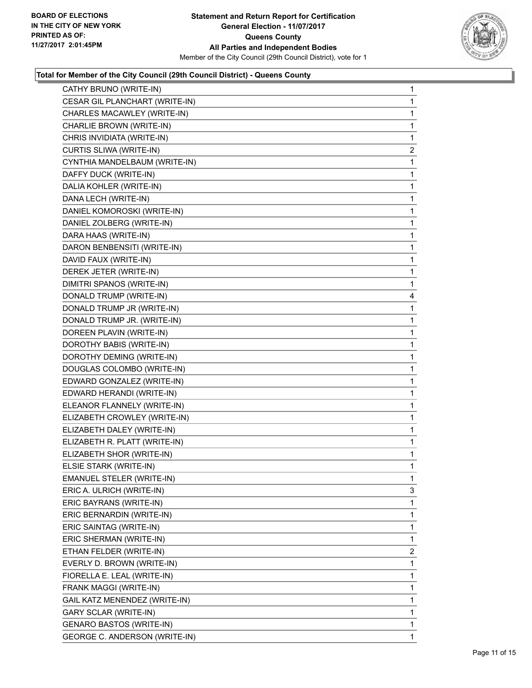

| CATHY BRUNO (WRITE-IN)               | $\mathbf 1$  |
|--------------------------------------|--------------|
| CESAR GIL PLANCHART (WRITE-IN)       | $\mathbf 1$  |
| CHARLES MACAWLEY (WRITE-IN)          | 1            |
| CHARLIE BROWN (WRITE-IN)             | 1            |
| CHRIS INVIDIATA (WRITE-IN)           | 1            |
| CURTIS SLIWA (WRITE-IN)              | 2            |
| CYNTHIA MANDELBAUM (WRITE-IN)        | 1            |
| DAFFY DUCK (WRITE-IN)                | $\mathbf 1$  |
| DALIA KOHLER (WRITE-IN)              | 1            |
| DANA LECH (WRITE-IN)                 | 1            |
| DANIEL KOMOROSKI (WRITE-IN)          | 1            |
| DANIEL ZOLBERG (WRITE-IN)            | $\mathbf 1$  |
| DARA HAAS (WRITE-IN)                 | 1            |
| DARON BENBENSITI (WRITE-IN)          | $\mathbf{1}$ |
| DAVID FAUX (WRITE-IN)                | 1            |
| DEREK JETER (WRITE-IN)               | 1            |
| DIMITRI SPANOS (WRITE-IN)            | 1            |
| DONALD TRUMP (WRITE-IN)              | 4            |
| DONALD TRUMP JR (WRITE-IN)           | 1            |
| DONALD TRUMP JR. (WRITE-IN)          | $\mathbf{1}$ |
| DOREEN PLAVIN (WRITE-IN)             | 1            |
| DOROTHY BABIS (WRITE-IN)             | 1            |
| DOROTHY DEMING (WRITE-IN)            | 1            |
| DOUGLAS COLOMBO (WRITE-IN)           | $\mathbf 1$  |
| EDWARD GONZALEZ (WRITE-IN)           | 1            |
| EDWARD HERANDI (WRITE-IN)            | $\mathbf{1}$ |
| ELEANOR FLANNELY (WRITE-IN)          | 1            |
| ELIZABETH CROWLEY (WRITE-IN)         | 1            |
| ELIZABETH DALEY (WRITE-IN)           | 1            |
| ELIZABETH R. PLATT (WRITE-IN)        | $\mathbf 1$  |
| ELIZABETH SHOR (WRITE-IN)            | 1            |
| ELSIE STARK (WRITE-IN)               | $\mathbf{1}$ |
| <b>EMANUEL STELER (WRITE-IN)</b>     | 1            |
| ERIC A. ULRICH (WRITE-IN)            | 3            |
| ERIC BAYRANS (WRITE-IN)              | 1            |
| ERIC BERNARDIN (WRITE-IN)            | 1            |
| ERIC SAINTAG (WRITE-IN)              | 1            |
| ERIC SHERMAN (WRITE-IN)              | 1            |
| ETHAN FELDER (WRITE-IN)              | 2            |
| EVERLY D. BROWN (WRITE-IN)           | 1            |
| FIORELLA E. LEAL (WRITE-IN)          | 1            |
| FRANK MAGGI (WRITE-IN)               | 1            |
| GAIL KATZ MENENDEZ (WRITE-IN)        | 1            |
| <b>GARY SCLAR (WRITE-IN)</b>         | 1            |
| GENARO BASTOS (WRITE-IN)             | 1            |
| <b>GEORGE C. ANDERSON (WRITE-IN)</b> | 1            |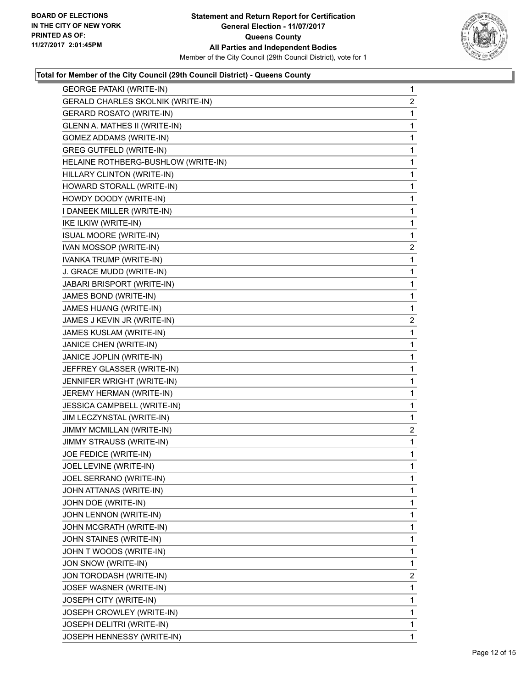

| <b>GEORGE PATAKI (WRITE-IN)</b>     | 1              |
|-------------------------------------|----------------|
| GERALD CHARLES SKOLNIK (WRITE-IN)   | 2              |
| GERARD ROSATO (WRITE-IN)            | 1              |
| GLENN A. MATHES II (WRITE-IN)       | 1              |
| GOMEZ ADDAMS (WRITE-IN)             | 1              |
| <b>GREG GUTFELD (WRITE-IN)</b>      | 1              |
| HELAINE ROTHBERG-BUSHLOW (WRITE-IN) | 1              |
| HILLARY CLINTON (WRITE-IN)          | 1              |
| HOWARD STORALL (WRITE-IN)           | 1              |
| HOWDY DOODY (WRITE-IN)              | 1              |
| I DANEEK MILLER (WRITE-IN)          | 1              |
| IKE ILKIW (WRITE-IN)                | 1              |
| <b>ISUAL MOORE (WRITE-IN)</b>       | 1              |
| IVAN MOSSOP (WRITE-IN)              | 2              |
| IVANKA TRUMP (WRITE-IN)             | 1              |
| J. GRACE MUDD (WRITE-IN)            | 1              |
| JABARI BRISPORT (WRITE-IN)          | 1              |
| JAMES BOND (WRITE-IN)               | 1              |
| JAMES HUANG (WRITE-IN)              | 1              |
| JAMES J KEVIN JR (WRITE-IN)         | 2              |
| <b>JAMES KUSLAM (WRITE-IN)</b>      | 1              |
| JANICE CHEN (WRITE-IN)              | 1              |
| JANICE JOPLIN (WRITE-IN)            | 1              |
| JEFFREY GLASSER (WRITE-IN)          | 1              |
| JENNIFER WRIGHT (WRITE-IN)          | 1              |
| JEREMY HERMAN (WRITE-IN)            | 1              |
| JESSICA CAMPBELL (WRITE-IN)         | 1              |
| JIM LECZYNSTAL (WRITE-IN)           | 1              |
| JIMMY MCMILLAN (WRITE-IN)           | $\overline{c}$ |
| JIMMY STRAUSS (WRITE-IN)            | 1              |
| JOE FEDICE (WRITE-IN)               | 1              |
| JOEL LEVINE (WRITE-IN)              | 1              |
| JOEL SERRANO (WRITE-IN)             | 1              |
| JOHN ATTANAS (WRITE-IN)             | 1              |
| JOHN DOE (WRITE-IN)                 | 1              |
| JOHN LENNON (WRITE-IN)              | 1              |
| JOHN MCGRATH (WRITE-IN)             | 1              |
| JOHN STAINES (WRITE-IN)             | 1              |
| JOHN T WOODS (WRITE-IN)             | 1              |
| JON SNOW (WRITE-IN)                 | 1              |
| JON TORODASH (WRITE-IN)             | $\overline{c}$ |
| JOSEF WASNER (WRITE-IN)             | 1              |
| JOSEPH CITY (WRITE-IN)              | 1              |
| JOSEPH CROWLEY (WRITE-IN)           | 1              |
| JOSEPH DELITRI (WRITE-IN)           | 1              |
| JOSEPH HENNESSY (WRITE-IN)          | 1.             |
|                                     |                |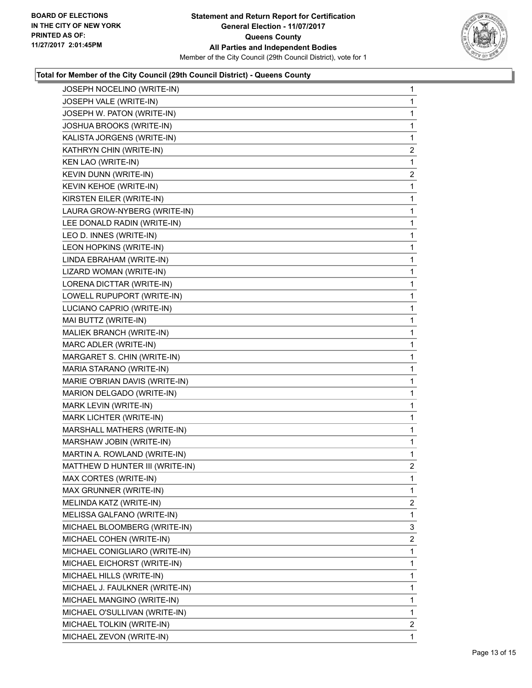

| JOSEPH NOCELINO (WRITE-IN)      | 1              |
|---------------------------------|----------------|
| JOSEPH VALE (WRITE-IN)          | 1              |
| JOSEPH W. PATON (WRITE-IN)      | 1              |
| JOSHUA BROOKS (WRITE-IN)        | 1              |
| KALISTA JORGENS (WRITE-IN)      | 1              |
| KATHRYN CHIN (WRITE-IN)         | 2              |
| KEN LAO (WRITE-IN)              | 1              |
| KEVIN DUNN (WRITE-IN)           | $\overline{2}$ |
| KEVIN KEHOE (WRITE-IN)          | 1              |
| KIRSTEN EILER (WRITE-IN)        | 1              |
| LAURA GROW-NYBERG (WRITE-IN)    | 1              |
| LEE DONALD RADIN (WRITE-IN)     | $\mathbf{1}$   |
| LEO D. INNES (WRITE-IN)         | 1              |
| LEON HOPKINS (WRITE-IN)         | 1              |
| LINDA EBRAHAM (WRITE-IN)        | 1              |
| LIZARD WOMAN (WRITE-IN)         | 1              |
| LORENA DICTTAR (WRITE-IN)       | 1              |
| LOWELL RUPUPORT (WRITE-IN)      | $\mathbf{1}$   |
| LUCIANO CAPRIO (WRITE-IN)       | 1              |
| MAI BUTTZ (WRITE-IN)            | 1              |
| MALIEK BRANCH (WRITE-IN)        | 1              |
| MARC ADLER (WRITE-IN)           | 1              |
| MARGARET S. CHIN (WRITE-IN)     | 1              |
| MARIA STARANO (WRITE-IN)        | 1              |
| MARIE O'BRIAN DAVIS (WRITE-IN)  | 1              |
| MARION DELGADO (WRITE-IN)       | 1              |
| MARK LEVIN (WRITE-IN)           | 1              |
| MARK LICHTER (WRITE-IN)         | 1              |
| MARSHALL MATHERS (WRITE-IN)     | 1              |
| MARSHAW JOBIN (WRITE-IN)        | $\mathbf{1}$   |
| MARTIN A. ROWLAND (WRITE-IN)    | 1              |
| MATTHEW D HUNTER III (WRITE-IN) | $\overline{2}$ |
| MAX CORTES (WRITE-IN)           | 1              |
| MAX GRUNNER (WRITE-IN)          | 1              |
| MELINDA KATZ (WRITE-IN)         | $\overline{2}$ |
| MELISSA GALFANO (WRITE-IN)      | 1              |
| MICHAEL BLOOMBERG (WRITE-IN)    | 3              |
| MICHAEL COHEN (WRITE-IN)        | 2              |
| MICHAEL CONIGLIARO (WRITE-IN)   | 1              |
| MICHAEL EICHORST (WRITE-IN)     | 1              |
| MICHAEL HILLS (WRITE-IN)        | 1              |
| MICHAEL J. FAULKNER (WRITE-IN)  | 1              |
| MICHAEL MANGINO (WRITE-IN)      | 1              |
| MICHAEL O'SULLIVAN (WRITE-IN)   | 1              |
| MICHAEL TOLKIN (WRITE-IN)       | $\overline{2}$ |
| MICHAEL ZEVON (WRITE-IN)        | 1              |
|                                 |                |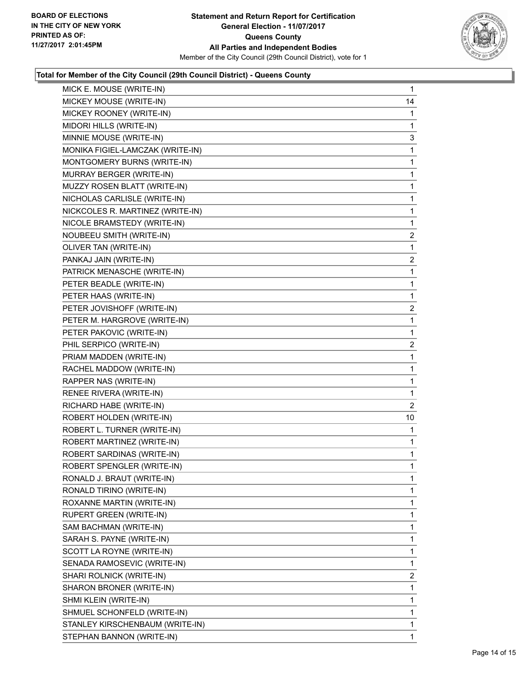

| MICK E. MOUSE (WRITE-IN)         | 1  |
|----------------------------------|----|
| MICKEY MOUSE (WRITE-IN)          | 14 |
| MICKEY ROONEY (WRITE-IN)         | 1  |
| MIDORI HILLS (WRITE-IN)          | 1  |
| MINNIE MOUSE (WRITE-IN)          | 3  |
| MONIKA FIGIEL-LAMCZAK (WRITE-IN) | 1  |
| MONTGOMERY BURNS (WRITE-IN)      | 1  |
| MURRAY BERGER (WRITE-IN)         | 1  |
| MUZZY ROSEN BLATT (WRITE-IN)     | 1  |
| NICHOLAS CARLISLE (WRITE-IN)     | 1  |
| NICKCOLES R. MARTINEZ (WRITE-IN) | 1  |
| NICOLE BRAMSTEDY (WRITE-IN)      | 1  |
| NOUBEEU SMITH (WRITE-IN)         | 2  |
| OLIVER TAN (WRITE-IN)            | 1  |
| PANKAJ JAIN (WRITE-IN)           | 2  |
| PATRICK MENASCHE (WRITE-IN)      | 1  |
| PETER BEADLE (WRITE-IN)          | 1  |
| PETER HAAS (WRITE-IN)            | 1  |
| PETER JOVISHOFF (WRITE-IN)       | 2  |
| PETER M. HARGROVE (WRITE-IN)     | 1  |
| PETER PAKOVIC (WRITE-IN)         | 1  |
| PHIL SERPICO (WRITE-IN)          | 2  |
| PRIAM MADDEN (WRITE-IN)          | 1  |
| RACHEL MADDOW (WRITE-IN)         | 1  |
| RAPPER NAS (WRITE-IN)            | 1  |
| RENEE RIVERA (WRITE-IN)          | 1  |
| RICHARD HABE (WRITE-IN)          | 2  |
| ROBERT HOLDEN (WRITE-IN)         | 10 |
| ROBERT L. TURNER (WRITE-IN)      | 1  |
| ROBERT MARTINEZ (WRITE-IN)       | 1  |
| ROBERT SARDINAS (WRITE-IN)       | 1  |
| ROBERT SPENGLER (WRITE-IN)       | 1  |
| RONALD J. BRAUT (WRITE-IN)       | 1  |
| RONALD TIRINO (WRITE-IN)         | 1  |
| ROXANNE MARTIN (WRITE-IN)        | 1  |
| <b>RUPERT GREEN (WRITE-IN)</b>   | 1  |
| SAM BACHMAN (WRITE-IN)           | 1  |
| SARAH S. PAYNE (WRITE-IN)        | 1  |
| SCOTT LA ROYNE (WRITE-IN)        | 1  |
| SENADA RAMOSEVIC (WRITE-IN)      | 1  |
| SHARI ROLNICK (WRITE-IN)         | 2  |
| SHARON BRONER (WRITE-IN)         | 1  |
| SHMI KLEIN (WRITE-IN)            | 1  |
| SHMUEL SCHONFELD (WRITE-IN)      | 1  |
| STANLEY KIRSCHENBAUM (WRITE-IN)  | 1  |
| STEPHAN BANNON (WRITE-IN)        | 1  |
|                                  |    |